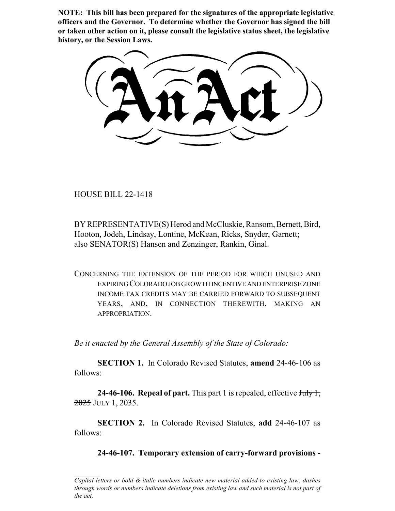**NOTE: This bill has been prepared for the signatures of the appropriate legislative officers and the Governor. To determine whether the Governor has signed the bill or taken other action on it, please consult the legislative status sheet, the legislative history, or the Session Laws.**

HOUSE BILL 22-1418

BY REPRESENTATIVE(S) Herod and McCluskie, Ransom, Bernett, Bird, Hooton, Jodeh, Lindsay, Lontine, McKean, Ricks, Snyder, Garnett; also SENATOR(S) Hansen and Zenzinger, Rankin, Ginal.

CONCERNING THE EXTENSION OF THE PERIOD FOR WHICH UNUSED AND EXPIRING COLORADO JOB GROWTH INCENTIVE AND ENTERPRISE ZONE INCOME TAX CREDITS MAY BE CARRIED FORWARD TO SUBSEQUENT YEARS, AND, IN CONNECTION THEREWITH, MAKING AN APPROPRIATION.

*Be it enacted by the General Assembly of the State of Colorado:*

**SECTION 1.** In Colorado Revised Statutes, **amend** 24-46-106 as follows:

**24-46-106. Repeal of part.** This part 1 is repealed, effective July 1,  $2025$  JULY 1, 2035.

**SECTION 2.** In Colorado Revised Statutes, **add** 24-46-107 as follows:

**24-46-107. Temporary extension of carry-forward provisions -**

*Capital letters or bold & italic numbers indicate new material added to existing law; dashes through words or numbers indicate deletions from existing law and such material is not part of the act.*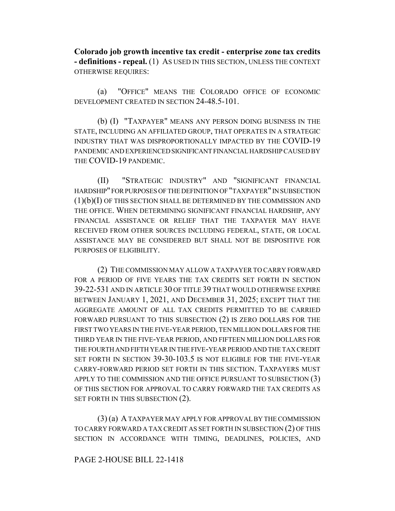**Colorado job growth incentive tax credit - enterprise zone tax credits - definitions - repeal.** (1) AS USED IN THIS SECTION, UNLESS THE CONTEXT OTHERWISE REQUIRES:

(a) "OFFICE" MEANS THE COLORADO OFFICE OF ECONOMIC DEVELOPMENT CREATED IN SECTION 24-48.5-101.

(b) (I) "TAXPAYER" MEANS ANY PERSON DOING BUSINESS IN THE STATE, INCLUDING AN AFFILIATED GROUP, THAT OPERATES IN A STRATEGIC INDUSTRY THAT WAS DISPROPORTIONALLY IMPACTED BY THE COVID-19 PANDEMIC AND EXPERIENCED SIGNIFICANT FINANCIAL HARDSHIP CAUSED BY THE COVID-19 PANDEMIC.

(II) "STRATEGIC INDUSTRY" AND "SIGNIFICANT FINANCIAL HARDSHIP" FOR PURPOSES OF THE DEFINITION OF "TAXPAYER" IN SUBSECTION  $(1)(b)(I)$  OF THIS SECTION SHALL BE DETERMINED BY THE COMMISSION AND THE OFFICE. WHEN DETERMINING SIGNIFICANT FINANCIAL HARDSHIP, ANY FINANCIAL ASSISTANCE OR RELIEF THAT THE TAXPAYER MAY HAVE RECEIVED FROM OTHER SOURCES INCLUDING FEDERAL, STATE, OR LOCAL ASSISTANCE MAY BE CONSIDERED BUT SHALL NOT BE DISPOSITIVE FOR PURPOSES OF ELIGIBILITY.

(2) THE COMMISSION MAY ALLOW A TAXPAYER TO CARRY FORWARD FOR A PERIOD OF FIVE YEARS THE TAX CREDITS SET FORTH IN SECTION 39-22-531 AND IN ARTICLE 30 OF TITLE 39 THAT WOULD OTHERWISE EXPIRE BETWEEN JANUARY 1, 2021, AND DECEMBER 31, 2025; EXCEPT THAT THE AGGREGATE AMOUNT OF ALL TAX CREDITS PERMITTED TO BE CARRIED FORWARD PURSUANT TO THIS SUBSECTION (2) IS ZERO DOLLARS FOR THE FIRST TWO YEARS IN THE FIVE-YEAR PERIOD, TEN MILLION DOLLARS FOR THE THIRD YEAR IN THE FIVE-YEAR PERIOD, AND FIFTEEN MILLION DOLLARS FOR THE FOURTH AND FIFTH YEAR IN THE FIVE-YEAR PERIOD AND THE TAX CREDIT SET FORTH IN SECTION 39-30-103.5 IS NOT ELIGIBLE FOR THE FIVE-YEAR CARRY-FORWARD PERIOD SET FORTH IN THIS SECTION. TAXPAYERS MUST APPLY TO THE COMMISSION AND THE OFFICE PURSUANT TO SUBSECTION (3) OF THIS SECTION FOR APPROVAL TO CARRY FORWARD THE TAX CREDITS AS SET FORTH IN THIS SUBSECTION  $(2)$ .

(3) (a) A TAXPAYER MAY APPLY FOR APPROVAL BY THE COMMISSION TO CARRY FORWARD A TAX CREDIT AS SET FORTH IN SUBSECTION (2) OF THIS SECTION IN ACCORDANCE WITH TIMING, DEADLINES, POLICIES, AND

## PAGE 2-HOUSE BILL 22-1418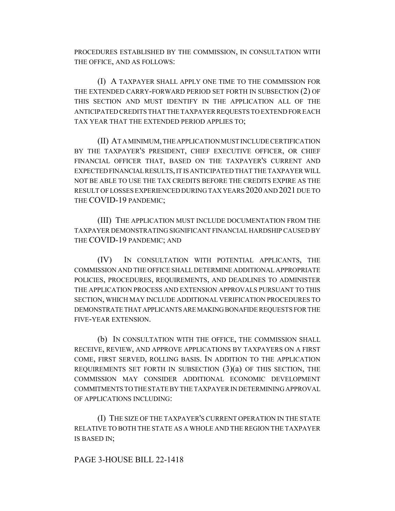PROCEDURES ESTABLISHED BY THE COMMISSION, IN CONSULTATION WITH THE OFFICE, AND AS FOLLOWS:

(I) A TAXPAYER SHALL APPLY ONE TIME TO THE COMMISSION FOR THE EXTENDED CARRY-FORWARD PERIOD SET FORTH IN SUBSECTION (2) OF THIS SECTION AND MUST IDENTIFY IN THE APPLICATION ALL OF THE ANTICIPATED CREDITS THAT THE TAXPAYER REQUESTS TO EXTEND FOR EACH TAX YEAR THAT THE EXTENDED PERIOD APPLIES TO;

(II) AT A MINIMUM, THE APPLICATION MUST INCLUDE CERTIFICATION BY THE TAXPAYER'S PRESIDENT, CHIEF EXECUTIVE OFFICER, OR CHIEF FINANCIAL OFFICER THAT, BASED ON THE TAXPAYER'S CURRENT AND EXPECTED FINANCIAL RESULTS, IT IS ANTICIPATED THAT THE TAXPAYER WILL NOT BE ABLE TO USE THE TAX CREDITS BEFORE THE CREDITS EXPIRE AS THE RESULT OF LOSSES EXPERIENCED DURING TAX YEARS 2020 AND 2021 DUE TO THE COVID-19 PANDEMIC;

(III) THE APPLICATION MUST INCLUDE DOCUMENTATION FROM THE TAXPAYER DEMONSTRATING SIGNIFICANT FINANCIAL HARDSHIP CAUSED BY THE COVID-19 PANDEMIC; AND

(IV) IN CONSULTATION WITH POTENTIAL APPLICANTS, THE COMMISSION AND THE OFFICE SHALL DETERMINE ADDITIONAL APPROPRIATE POLICIES, PROCEDURES, REQUIREMENTS, AND DEADLINES TO ADMINISTER THE APPLICATION PROCESS AND EXTENSION APPROVALS PURSUANT TO THIS SECTION, WHICH MAY INCLUDE ADDITIONAL VERIFICATION PROCEDURES TO DEMONSTRATE THAT APPLICANTS ARE MAKING BONAFIDE REQUESTS FOR THE FIVE-YEAR EXTENSION.

(b) IN CONSULTATION WITH THE OFFICE, THE COMMISSION SHALL RECEIVE, REVIEW, AND APPROVE APPLICATIONS BY TAXPAYERS ON A FIRST COME, FIRST SERVED, ROLLING BASIS. IN ADDITION TO THE APPLICATION REQUIREMENTS SET FORTH IN SUBSECTION  $(3)(a)$  OF THIS SECTION, THE COMMISSION MAY CONSIDER ADDITIONAL ECONOMIC DEVELOPMENT COMMITMENTS TO THE STATE BY THE TAXPAYER IN DETERMINING APPROVAL OF APPLICATIONS INCLUDING:

(I) THE SIZE OF THE TAXPAYER'S CURRENT OPERATION IN THE STATE RELATIVE TO BOTH THE STATE AS A WHOLE AND THE REGION THE TAXPAYER IS BASED IN;

## PAGE 3-HOUSE BILL 22-1418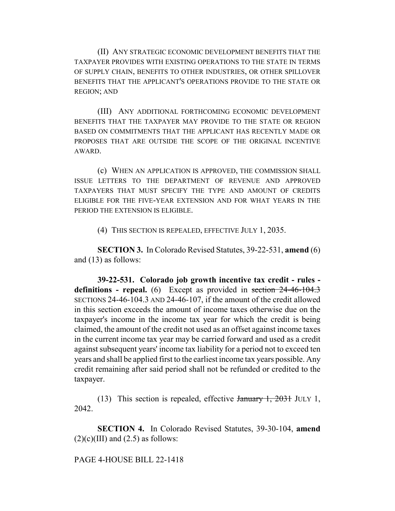(II) ANY STRATEGIC ECONOMIC DEVELOPMENT BENEFITS THAT THE TAXPAYER PROVIDES WITH EXISTING OPERATIONS TO THE STATE IN TERMS OF SUPPLY CHAIN, BENEFITS TO OTHER INDUSTRIES, OR OTHER SPILLOVER BENEFITS THAT THE APPLICANT'S OPERATIONS PROVIDE TO THE STATE OR REGION; AND

(III) ANY ADDITIONAL FORTHCOMING ECONOMIC DEVELOPMENT BENEFITS THAT THE TAXPAYER MAY PROVIDE TO THE STATE OR REGION BASED ON COMMITMENTS THAT THE APPLICANT HAS RECENTLY MADE OR PROPOSES THAT ARE OUTSIDE THE SCOPE OF THE ORIGINAL INCENTIVE AWARD.

(c) WHEN AN APPLICATION IS APPROVED, THE COMMISSION SHALL ISSUE LETTERS TO THE DEPARTMENT OF REVENUE AND APPROVED TAXPAYERS THAT MUST SPECIFY THE TYPE AND AMOUNT OF CREDITS ELIGIBLE FOR THE FIVE-YEAR EXTENSION AND FOR WHAT YEARS IN THE PERIOD THE EXTENSION IS ELIGIBLE.

(4) THIS SECTION IS REPEALED, EFFECTIVE JULY 1, 2035.

**SECTION 3.** In Colorado Revised Statutes, 39-22-531, **amend** (6) and (13) as follows:

**39-22-531. Colorado job growth incentive tax credit - rules**  definitions - repeal. (6) Except as provided in section 24-46-104.3 SECTIONS 24-46-104.3 AND 24-46-107, if the amount of the credit allowed in this section exceeds the amount of income taxes otherwise due on the taxpayer's income in the income tax year for which the credit is being claimed, the amount of the credit not used as an offset against income taxes in the current income tax year may be carried forward and used as a credit against subsequent years' income tax liability for a period not to exceed ten years and shall be applied first to the earliest income tax years possible. Any credit remaining after said period shall not be refunded or credited to the taxpayer.

(13) This section is repealed, effective  $\frac{1}{2}$   $\frac{1}{2031}$  JULY 1, 2042.

**SECTION 4.** In Colorado Revised Statutes, 39-30-104, **amend**  $(2)(c)(III)$  and  $(2.5)$  as follows:

PAGE 4-HOUSE BILL 22-1418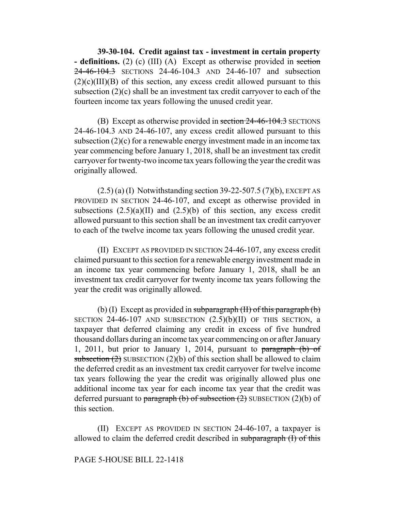**39-30-104. Credit against tax - investment in certain property - definitions.** (2) (c) (III) (A) Except as otherwise provided in section 24-46-104.3 SECTIONS 24-46-104.3 AND 24-46-107 and subsection  $(2)(c)(III)(B)$  of this section, any excess credit allowed pursuant to this subsection (2)(c) shall be an investment tax credit carryover to each of the fourteen income tax years following the unused credit year.

(B) Except as otherwise provided in section  $24-46-104.3$  SECTIONS 24-46-104.3 AND 24-46-107, any excess credit allowed pursuant to this subsection  $(2)(c)$  for a renewable energy investment made in an income tax year commencing before January 1, 2018, shall be an investment tax credit carryover for twenty-two income tax years following the year the credit was originally allowed.

 $(2.5)$  (a) (I) Notwithstanding section 39-22-507.5 (7)(b), EXCEPT AS PROVIDED IN SECTION 24-46-107, and except as otherwise provided in subsections  $(2.5)(a)(II)$  and  $(2.5)(b)$  of this section, any excess credit allowed pursuant to this section shall be an investment tax credit carryover to each of the twelve income tax years following the unused credit year.

(II) EXCEPT AS PROVIDED IN SECTION 24-46-107, any excess credit claimed pursuant to this section for a renewable energy investment made in an income tax year commencing before January 1, 2018, shall be an investment tax credit carryover for twenty income tax years following the year the credit was originally allowed.

(b) (I) Except as provided in subparagraph  $(H)$  of this paragraph  $(b)$ SECTION  $24-46-107$  AND SUBSECTION  $(2.5)(b)(II)$  OF THIS SECTION, a taxpayer that deferred claiming any credit in excess of five hundred thousand dollars during an income tax year commencing on or after January 1, 2011, but prior to January 1, 2014, pursuant to paragraph (b) of subsection  $(2)$  SUBSECTION  $(2)(b)$  of this section shall be allowed to claim the deferred credit as an investment tax credit carryover for twelve income tax years following the year the credit was originally allowed plus one additional income tax year for each income tax year that the credit was deferred pursuant to paragraph (b) of subsection  $(2)$  SUBSECTION  $(2)(b)$  of this section.

(II) EXCEPT AS PROVIDED IN SECTION 24-46-107, a taxpayer is allowed to claim the deferred credit described in subparagraph (I) of this

## PAGE 5-HOUSE BILL 22-1418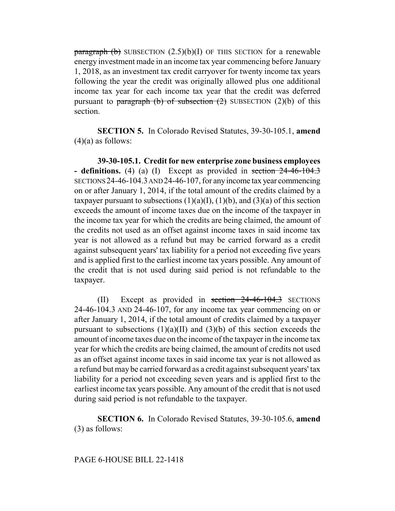paragraph (b) SUBSECTION  $(2.5)(b)(I)$  OF THIS SECTION for a renewable energy investment made in an income tax year commencing before January 1, 2018, as an investment tax credit carryover for twenty income tax years following the year the credit was originally allowed plus one additional income tax year for each income tax year that the credit was deferred pursuant to paragraph (b) of subsection  $(2)$  SUBSECTION  $(2)(b)$  of this section.

**SECTION 5.** In Colorado Revised Statutes, 39-30-105.1, **amend**  $(4)(a)$  as follows:

**39-30-105.1. Credit for new enterprise zone business employees - definitions.** (4) (a) (I) Except as provided in section 24-46-104.3 SECTIONS 24-46-104.3 AND 24-46-107, for any income tax year commencing on or after January 1, 2014, if the total amount of the credits claimed by a taxpayer pursuant to subsections  $(1)(a)(I)$ ,  $(1)(b)$ , and  $(3)(a)$  of this section exceeds the amount of income taxes due on the income of the taxpayer in the income tax year for which the credits are being claimed, the amount of the credits not used as an offset against income taxes in said income tax year is not allowed as a refund but may be carried forward as a credit against subsequent years' tax liability for a period not exceeding five years and is applied first to the earliest income tax years possible. Any amount of the credit that is not used during said period is not refundable to the taxpayer.

(II) Except as provided in section  $24-46-104.3$  SECTIONS 24-46-104.3 AND 24-46-107, for any income tax year commencing on or after January 1, 2014, if the total amount of credits claimed by a taxpayer pursuant to subsections  $(1)(a)(II)$  and  $(3)(b)$  of this section exceeds the amount of income taxes due on the income of the taxpayer in the income tax year for which the credits are being claimed, the amount of credits not used as an offset against income taxes in said income tax year is not allowed as a refund but may be carried forward as a credit against subsequent years' tax liability for a period not exceeding seven years and is applied first to the earliest income tax years possible. Any amount of the credit that is not used during said period is not refundable to the taxpayer.

**SECTION 6.** In Colorado Revised Statutes, 39-30-105.6, **amend** (3) as follows: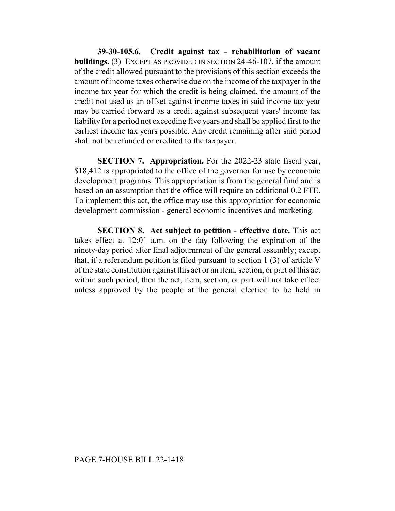**39-30-105.6. Credit against tax - rehabilitation of vacant buildings.** (3) EXCEPT AS PROVIDED IN SECTION 24-46-107, if the amount of the credit allowed pursuant to the provisions of this section exceeds the amount of income taxes otherwise due on the income of the taxpayer in the income tax year for which the credit is being claimed, the amount of the credit not used as an offset against income taxes in said income tax year may be carried forward as a credit against subsequent years' income tax liability for a period not exceeding five years and shall be applied first to the earliest income tax years possible. Any credit remaining after said period shall not be refunded or credited to the taxpayer.

**SECTION 7. Appropriation.** For the 2022-23 state fiscal year, \$18,412 is appropriated to the office of the governor for use by economic development programs. This appropriation is from the general fund and is based on an assumption that the office will require an additional 0.2 FTE. To implement this act, the office may use this appropriation for economic development commission - general economic incentives and marketing.

**SECTION 8. Act subject to petition - effective date.** This act takes effect at 12:01 a.m. on the day following the expiration of the ninety-day period after final adjournment of the general assembly; except that, if a referendum petition is filed pursuant to section 1 (3) of article V of the state constitution against this act or an item, section, or part of this act within such period, then the act, item, section, or part will not take effect unless approved by the people at the general election to be held in